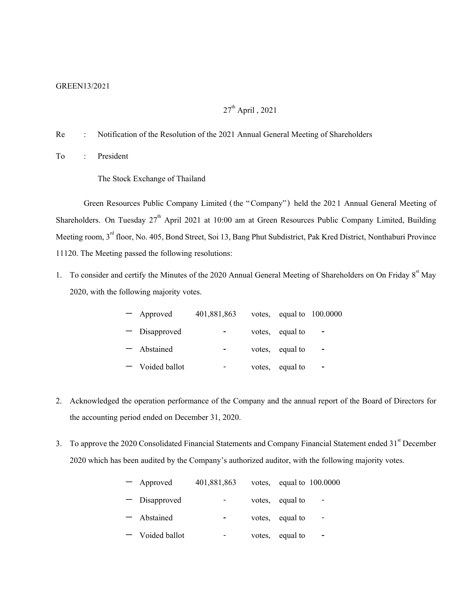### GREEN13/2021

# $27<sup>th</sup>$  April, 2021

Re : Notification of the Resolution of the 2021 Annual General Meeting of Shareholders

To : President

The Stock Exchange of Thailand

Green Resources Public Company Limited (the "Company") held the 2021 Annual General Meeting of Shareholders. On Tuesday  $27<sup>th</sup>$  April 2021 at 10:00 am at Green Resources Public Company Limited, Building Meeting room, 3<sup>rd</sup> floor, No. 405, Bond Street, Soi 13, Bang Phut Subdistrict, Pak Kred District, Nonthaburi Province 11120. The Meeting passed the following resolutions:

1. To consider and certify the Minutes of the 2020 Annual General Meeting of Shareholders on On Friday 8<sup>st</sup> May 2020, with the following majority votes.

| - Approved        | 401,881,863 |                 | votes, equal to $100.0000$ |
|-------------------|-------------|-----------------|----------------------------|
| - Disapproved     |             | votes, equal to |                            |
| - Abstained       |             | votes, equal to |                            |
| $-$ Voided ballot |             | votes, equal to |                            |

- 2. Acknowledged the operation performance of the Company and the annual report of the Board of Directors for the accounting period ended on December 31, 2020.
- 3. To approve the 2020 Consolidated Financial Statements and Company Financial Statement ended 31<sup>st</sup> December 2020 which has been audited by the Company's authorized auditor, with the following majority votes.

| - Approved      | 401,881,863 |        |                 | votes, equal to $100.0000$ |
|-----------------|-------------|--------|-----------------|----------------------------|
| - Disapproved   |             |        | votes, equal to |                            |
| - Abstained     |             |        | votes, equal to |                            |
| - Voided ballot |             | votes. | equal to        |                            |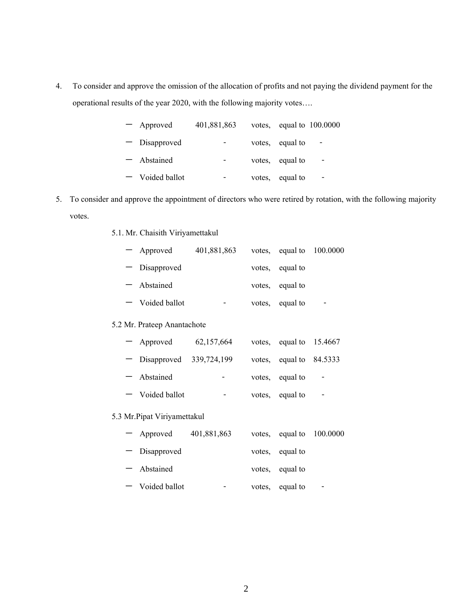4. To consider and approve the omission of the allocation of profits and not paying the dividend payment for the operational results of the year 2020, with the following majority votes….

| - Approved        | 401,881,863 |        |                 | votes, equal to $100.0000$ |
|-------------------|-------------|--------|-----------------|----------------------------|
| - Disapproved     |             |        | votes, equal to |                            |
| - Abstained       |             |        | votes, equal to |                            |
| $-$ Voided ballot |             | votes, | equal to        |                            |

- 5. To consider and approve the appointment of directors who were retired by rotation, with the following majority votes.
	- 5.1.Mr. Chaisith Viriyamettakul

|                             | - Approved        | 401,881,863 |               |                         | votes, equal to $100.0000$ |  |  |
|-----------------------------|-------------------|-------------|---------------|-------------------------|----------------------------|--|--|
|                             | - Disapproved     |             | votes,        | equal to                |                            |  |  |
|                             | - Abstained       |             | votes,        | equal to                |                            |  |  |
|                             | $-$ Voided ballot | -           | votes,        | equal to                | $\overline{\phantom{0}}$   |  |  |
| 5.2 Mr. Prateep Anantachote |                   |             |               |                         |                            |  |  |
|                             | $A$ provessed     | 62157664    | $\frac{1}{2}$ | $\alpha$ and to 15 4667 |                            |  |  |

| Approveu                    | 02,137,004 | votes, equal to $13.4007$ |                          |
|-----------------------------|------------|---------------------------|--------------------------|
| $-$ Disapproved 339,724,199 |            | votes, equal to $84.5333$ |                          |
| - Abstained                 |            | votes, equal to           | $\overline{\phantom{a}}$ |
| - Voided ballot             |            | votes, equal to           |                          |

### 5.3 Mr.Pipat Viriyamettakul

| - Approved        | 401,881,863 |                 | votes, equal to $100.0000$ |
|-------------------|-------------|-----------------|----------------------------|
| - Disapproved     |             | votes, equal to |                            |
| - Abstained       |             | votes, equal to |                            |
| $-$ Voided ballot |             | votes, equal to |                            |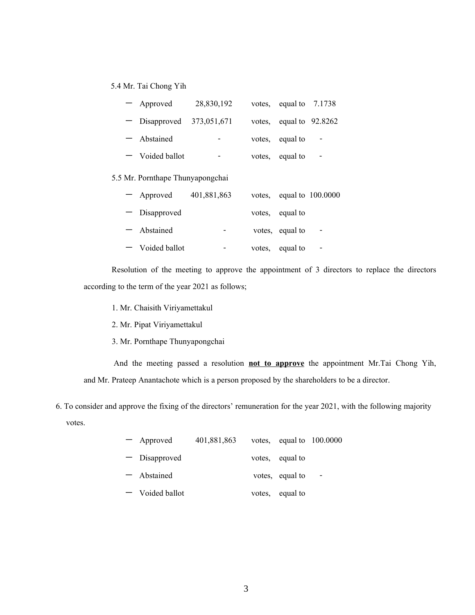## 5.4 Mr. Tai Chong Yih

| - Approved                  | 28,830,192               | votes, equal to $7.1738$  |  |
|-----------------------------|--------------------------|---------------------------|--|
| $-$ Disapproved 373,051,671 |                          | votes, equal to $92.8262$ |  |
| - Abstained                 |                          | votes, equal to           |  |
| $-$ Voided ballot           | $\overline{\phantom{0}}$ | votes, equal to           |  |

#### 5.5 Mr.Pornthape Thunyapongchai

| - Approved        | 401,881,863              |                 | votes, equal to $100.0000$ |
|-------------------|--------------------------|-----------------|----------------------------|
| - Disapproved     |                          | votes, equal to |                            |
| - Abstained       | $\overline{\phantom{0}}$ | votes, equal to |                            |
| $-$ Voided ballot | -                        | votes, equal to |                            |

Resolution of the meeting to approve the appointment of 3 directors to replace the directors according to the term of the year 2021 as follows;

- 1. Mr. Chaisith Viriyamettakul
- 2. Mr. Pipat Viriyamettakul
- 3. Mr.Pornthape Thunyapongchai

And the meeting passed a resolution **not to approve** the appointment Mr.Tai Chong Yih, and Mr. Prateep Anantachote which is a person proposed by the shareholders to be a director.

6. To consider and approve the fixing of the directors' remuneration for the year 2021, with the following majority votes.

| - Approved      | 401,881,863 |                 | votes, equal to $100.0000$ |
|-----------------|-------------|-----------------|----------------------------|
| - Disapproved   |             | votes, equal to |                            |
| - Abstained     |             | votes, equal to |                            |
| - Voided ballot |             | votes, equal to |                            |